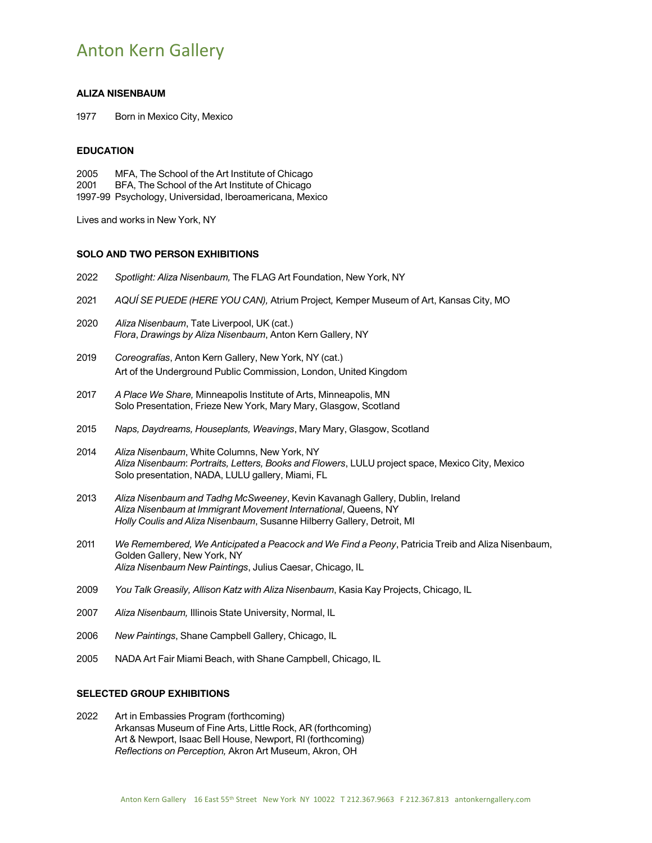# Anton Kern Gallery

### **ALIZA NISENBAUM**

1977 Born in Mexico City, Mexico

#### **EDUCATION**

2005 MFA, The School of the Art Institute of Chicago BFA, The School of the Art Institute of Chicago 1997-99 Psychology, Universidad, Iberoamericana, Mexico

Lives and works in New York, NY

## **SOLO AND TWO PERSON EXHIBITIONS**

| 2022 | Spotlight: Aliza Nisenbaum, The FLAG Art Foundation, New York, NY                                                                                                                                                          |
|------|----------------------------------------------------------------------------------------------------------------------------------------------------------------------------------------------------------------------------|
| 2021 | AQUÍ SE PUEDE (HERE YOU CAN), Atrium Project, Kemper Museum of Art, Kansas City, MO                                                                                                                                        |
| 2020 | Aliza Nisenbaum, Tate Liverpool, UK (cat.)<br>Flora, Drawings by Aliza Nisenbaum, Anton Kern Gallery, NY                                                                                                                   |
| 2019 | Coreografías, Anton Kern Gallery, New York, NY (cat.)<br>Art of the Underground Public Commission, London, United Kingdom                                                                                                  |
| 2017 | A Place We Share, Minneapolis Institute of Arts, Minneapolis, MN<br>Solo Presentation, Frieze New York, Mary Mary, Glasgow, Scotland                                                                                       |
| 2015 | Naps, Daydreams, Houseplants, Weavings, Mary Mary, Glasgow, Scotland                                                                                                                                                       |
| 2014 | Aliza Nisenbaum, White Columns, New York, NY<br>Aliza Nisenbaum: Portraits, Letters, Books and Flowers, LULU project space, Mexico City, Mexico<br>Solo presentation, NADA, LULU gallery, Miami, FL                        |
| 2013 | Aliza Nisenbaum and Tadhg McSweeney, Kevin Kavanagh Gallery, Dublin, Ireland<br>Aliza Nisenbaum at Immigrant Movement International, Queens, NY<br>Holly Coulis and Aliza Nisenbaum, Susanne Hilberry Gallery, Detroit, MI |
| 2011 | We Remembered, We Anticipated a Peacock and We Find a Peony, Patricia Treib and Aliza Nisenbaum,<br>Golden Gallery, New York, NY<br>Aliza Nisenbaum New Paintings, Julius Caesar, Chicago, IL                              |
| 2009 | You Talk Greasily, Allison Katz with Aliza Nisenbaum, Kasia Kay Projects, Chicago, IL                                                                                                                                      |
| 2007 | Aliza Nisenbaum, Illinois State University, Normal, IL                                                                                                                                                                     |
| 2006 | New Paintings, Shane Campbell Gallery, Chicago, IL                                                                                                                                                                         |
| 2005 | NADA Art Fair Miami Beach, with Shane Campbell, Chicago, IL                                                                                                                                                                |

**SELECTED GROUP EXHIBITIONS**

# 2022 Art in Embassies Program (forthcoming)

Arkansas Museum of Fine Arts, Little Rock, AR (forthcoming) Art & Newport, Isaac Bell House, Newport, RI (forthcoming) *Reflections on Perception,* Akron Art Museum, Akron, OH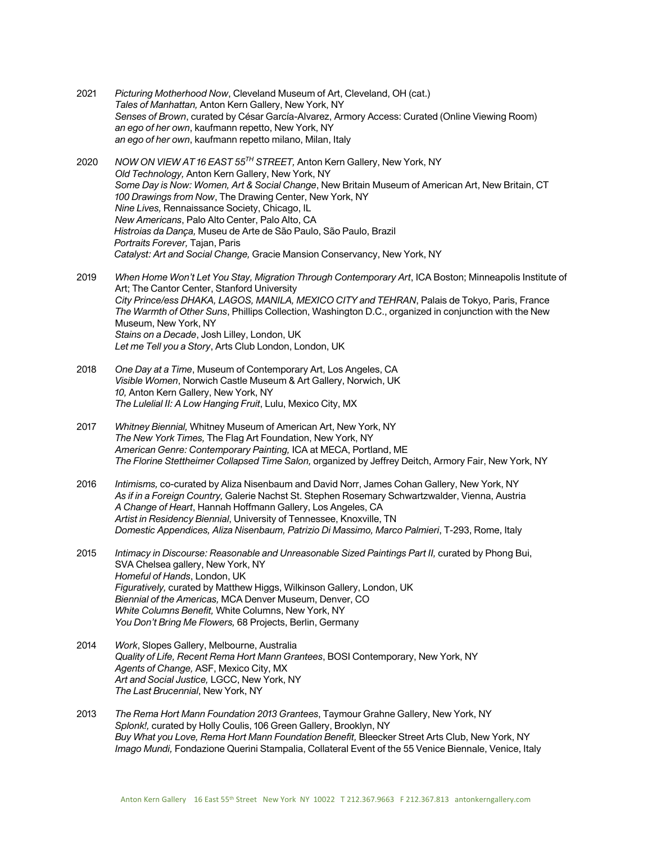- 2021 *Picturing Motherhood Now*, Cleveland Museum of Art, Cleveland, OH (cat.) *Tales of Manhattan,* Anton Kern Gallery, New York, NY *Senses of Brown*, curated by César García-Alvarez, Armory Access: Curated (Online Viewing Room) *an ego of her own*, kaufmann repetto, New York, NY *an ego of her own*, kaufmann repetto milano, Milan, Italy
- 2020 *NOW ON VIEW AT 16 EAST 55TH STREET,* Anton Kern Gallery, New York, NY *Old Technology,* Anton Kern Gallery, New York, NY *Some Day is Now: Women, Art & Social Change*, New Britain Museum of American Art, New Britain, CT *100 Drawings from Now*, The Drawing Center, New York, NY *Nine Lives,* Rennaissance Society, Chicago, IL  *New Americans*, Palo Alto Center, Palo Alto, CA *Histroias da Dança,* Museu de Arte de São Paulo, São Paulo, Brazil *Portraits Forever,* Tajan, Paris *Catalyst: Art and Social Change,* Gracie Mansion Conservancy, New York, NY
- 2019 *When Home Won't Let You Stay, Migration Through Contemporary Art*, ICA Boston; Minneapolis Institute of Art; The Cantor Center, Stanford University *City Prince/ess DHAKA, LAGOS, MANILA, MEXICO CITY and TEHRAN*, Palais de Tokyo, Paris, France *The Warmth of Other Suns*, Phillips Collection, Washington D.C., organized in conjunction with the New Museum, New York, NY *Stains on a Decade*, Josh Lilley, London, UK *Let me Tell you a Story*, Arts Club London, London, UK
- 2018 *One Day at a Time*, Museum of Contemporary Art, Los Angeles, CA *Visible Women*, Norwich Castle Museum & Art Gallery, Norwich, UK *10,* Anton Kern Gallery, New York, NY *The Lulelial II: A Low Hanging Fruit*, Lulu, Mexico City, MX
- 2017 *Whitney Biennial,* Whitney Museum of American Art, New York, NY *The New York Times,* The Flag Art Foundation, New York, NY *American Genre: Contemporary Painting,* ICA at MECA, Portland, ME *The Florine Stettheimer Collapsed Time Salon,* organized by Jeffrey Deitch, Armory Fair, New York, NY
- 2016 *Intimisms,* co-curated by Aliza Nisenbaum and David Norr, James Cohan Gallery, New York, NY *As if in a Foreign Country,* Galerie Nachst St. Stephen Rosemary Schwartzwalder, Vienna, Austria *A Change of Heart*, Hannah Hoffmann Gallery, Los Angeles, CA *Artist in Residency Biennial*, University of Tennessee, Knoxville, TN *Domestic Appendices, Aliza Nisenbaum, Patrizio Di Massimo, Marco Palmieri*, T-293, Rome, Italy
- 2015 *Intimacy in Discourse: Reasonable and Unreasonable Sized Paintings Part II,* curated by Phong Bui, SVA Chelsea gallery, New York, NY *Homeful of Hands*, London, UK *Figuratively,* curated by Matthew Higgs, Wilkinson Gallery, London, UK *Biennial of the Americas,* MCA Denver Museum, Denver, CO *White Columns Benefit,* White Columns, New York, NY *You Don't Bring Me Flowers,* 68 Projects, Berlin, Germany
- 2014 *Work*, Slopes Gallery, Melbourne, Australia *Quality of Life, Recent Rema Hort Mann Grantees*, BOSI Contemporary, New York, NY *Agents of Change,* ASF, Mexico City, MX *Art and Social Justice,* LGCC, New York, NY *The Last Brucennial*, New York, NY
- 2013 *The Rema Hort Mann Foundation 2013 Grantees*, Taymour Grahne Gallery, New York, NY *Splonk!,* curated by Holly Coulis, 106 Green Gallery, Brooklyn, NY *Buy What you Love, Rema Hort Mann Foundation Benefit,* Bleecker Street Arts Club, New York, NY *Imago Mundi,* Fondazione Querini Stampalia, Collateral Event of the 55 Venice Biennale, Venice, Italy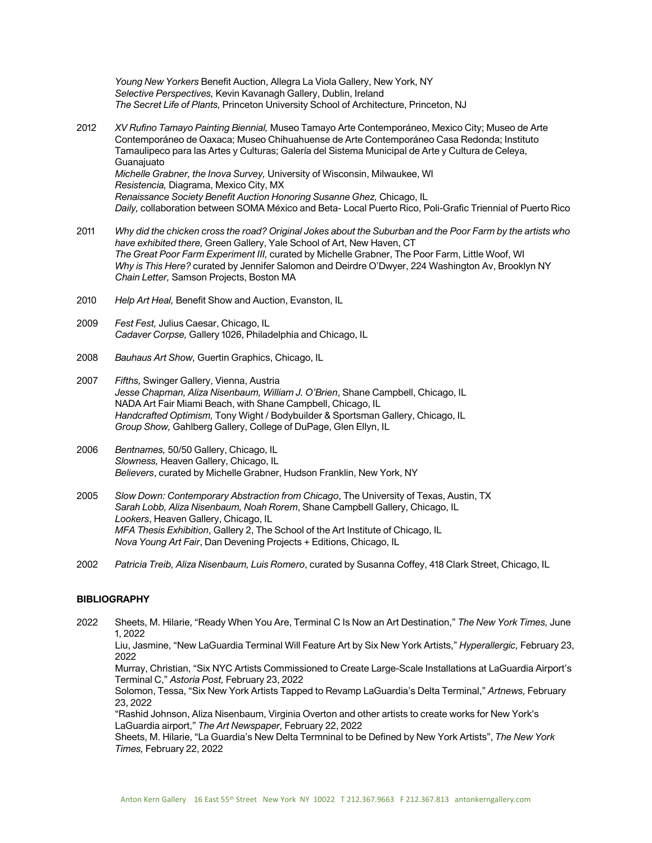*Young New Yorkers* Benefit Auction, Allegra La Viola Gallery, New York, NY *Selective Perspectives,* Kevin Kavanagh Gallery, Dublin, Ireland *The Secret Life of Plants,* Princeton University School of Architecture, Princeton, NJ

- 2012 *XV Rufino Tamayo Painting Biennial,* Museo Tamayo Arte Contemporáneo, Mexico City; Museo de Arte Contemporáneo de Oaxaca; Museo Chihuahuense de Arte Contemporáneo Casa Redonda; Instituto Tamaulipeco para las Artes y Culturas; Galería del Sistema Municipal de Arte y Cultura de Celeya, **Guanajuato** *Michelle Grabner, the Inova Survey,* University of Wisconsin, Milwaukee, WI *Resistencia,* Diagrama, Mexico City, MX *Renaissance Society Benefit Auction Honoring Susanne Ghez,* Chicago, IL *Daily,* collaboration between SOMA México and Beta- Local Puerto Rico, Poli-Grafic Triennial of Puerto Rico
- 2011 *Why did the chicken cross the road? Original Jokes about the Suburban and the Poor Farm by the artists who have exhibited there,* Green Gallery, Yale School of Art, New Haven, CT *The Great Poor Farm Experiment III,* curated by Michelle Grabner, The Poor Farm, Little Woof, WI *Why is This Here?* curated by Jennifer Salomon and Deirdre O'Dwyer, 224 Washington Av, Brooklyn NY *Chain Letter,* Samson Projects, Boston MA
- 2010 *Help Art Heal,* Benefit Show and Auction, Evanston, IL
- 2009 *Fest Fest,* Julius Caesar, Chicago, IL *Cadaver Corpse,* Gallery 1026, Philadelphia and Chicago, IL
- 2008 *Bauhaus Art Show,* Guertin Graphics, Chicago, IL
- 2007 *Fifths,* Swinger Gallery, Vienna, Austria *Jesse Chapman, Aliza Nisenbaum, William J. O'Brien*, Shane Campbell, Chicago, IL NADA Art Fair Miami Beach, with Shane Campbell, Chicago, IL *Handcrafted Optimism,* Tony Wight / Bodybuilder & Sportsman Gallery, Chicago, IL *Group Show,* Gahlberg Gallery, College of DuPage, Glen Ellyn, IL
- 2006 *Bentnames,* 50/50 Gallery, Chicago, IL *Slowness,* Heaven Gallery, Chicago, IL *Believers*, curated by Michelle Grabner, Hudson Franklin, New York, NY
- 2005 *Slow Down: Contemporary Abstraction from Chicago*, The University of Texas, Austin, TX *Sarah Lobb, Aliza Nisenbaum, Noah Rorem*, Shane Campbell Gallery, Chicago, IL *Lookers*, Heaven Gallery, Chicago, IL *MFA Thesis Exhibition*, Gallery 2, The School of the Art Institute of Chicago, IL *Nova Young Art Fair*, Dan Devening Projects + Editions, Chicago, IL
- 2002 *Patricia Treib, Aliza Nisenbaum, Luis Romero*, curated by Susanna Coffey, 418 Clark Street, Chicago, IL

#### **BIBLIOGRAPHY**

2022 Sheets, M. Hilarie, "Ready When You Are, Terminal C Is Now an Art Destination," *The New York Times,* June 1, 2022

Liu, Jasmine, "New LaGuardia Terminal Will Feature Art by Six New York Artists," *Hyperallergic,* February 23, 2022

Murray, Christian, "Six NYC Artists Commissioned to Create Large-Scale Installations at LaGuardia Airport's Terminal C," *Astoria Post,* February 23, 2022

Solomon, Tessa, "Six New York Artists Tapped to Revamp LaGuardia's Delta Terminal," *Artnews,* February 23, 2022

"Rashid Johnson, Aliza Nisenbaum, Virginia Overton and other artists to create works for New York's LaGuardia airport," *The Art Newspaper,* February 22, 2022

Sheets, M. Hilarie, "La Guardia's New Delta Termninal to be Defined by New York Artists", *The New York Times,* February 22, 2022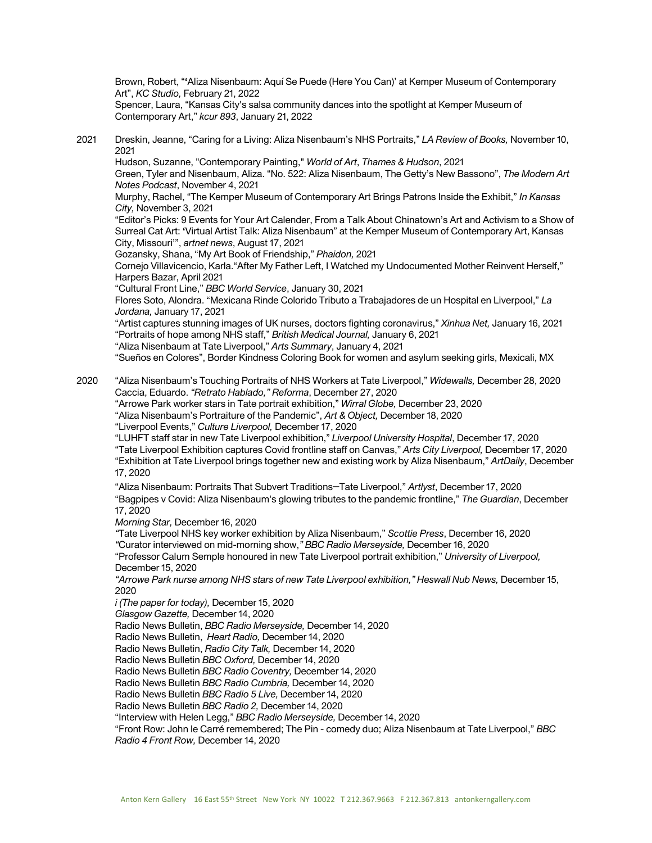Brown, Robert, "**'**Aliza Nisenbaum: Aquí Se Puede (Here You Can)' at Kemper Museum of Contemporary Art", *KC Studio,* February 21, 2022

Spencer, Laura, "Kansas City's salsa community dances into the spotlight at Kemper Museum of Contemporary Art," *kcur 893*, January 21, 2022

2021 Dreskin, Jeanne, "Caring for a Living: Aliza Nisenbaum's NHS Portraits," *LA Review of Books,* November 10, 2021

Hudson, Suzanne, "Contemporary Painting," *World of Art*, *Thames & Hudson*, 2021

Green, Tyler and Nisenbaum, Aliza. "No. 522: Aliza Nisenbaum, The Getty's New Bassono", *The Modern Art Notes Podcast*, November 4, 2021

Murphy, Rachel, "The Kemper Museum of Contemporary Art Brings Patrons Inside the Exhibit," *In Kansas City,* November 3, 2021

"Editor's Picks: 9 Events for Your Art Calender, From a Talk About Chinatown's Art and Activism to a Show of Surreal Cat Art: **'**Virtual Artist Talk: Aliza Nisenbaum" at the Kemper Museum of Contemporary Art, Kansas City, Missouri'", *artnet news*, August 17, 2021

Gozansky, Shana, "My Art Book of Friendship," *Phaidon,* 2021

Cornejo Villavicencio, Karla."After My Father Left, I Watched my Undocumented Mother Reinvent Herself," Harpers Bazar, April 2021

"Cultural Front Line," *BBC World Service*, January 30, 2021

Flores Soto, Alondra. "Mexicana Rinde Colorido Tributo a Trabajadores de un Hospital en Liverpool," *La Jordana,* January 17, 2021

"Artist captures stunning images of UK nurses, doctors fighting coronavirus," *Xinhua Net,* January 16, 2021 "Portraits of hope among NHS staff," *British Medical Journal,* January 6, 2021 "Aliza Nisenbaum at Tate Liverpool," *Arts Summary*, January 4, 2021

"Sueños en Colores", Border Kindness Coloring Book for women and asylum seeking girls, Mexicali, MX

2020 "Aliza Nisenbaum's Touching Portraits of NHS Workers at Tate Liverpool," *Widewalls,* December 28, 2020 Caccia, Eduardo. *"Retrato Hablado," Reforma*, December 27, 2020

"Arrowe Park worker stars in Tate portrait exhibition," *Wirral Globe,* December 23, 2020

"Aliza Nisenbaum's Portraiture of the Pandemic", *Art & Object,* December 18, 2020

"Liverpool Events," *Culture Liverpool,* December 17, 2020

"LUHFT staff star in new Tate Liverpool exhibition," *Liverpool University Hospital*, December 17, 2020 "Tate Liverpool Exhibition captures Covid frontline staff on Canvas," *Arts City Liverpool,* December 17, 2020 "Exhibition at Tate Liverpool brings together new and existing work by Aliza Nisenbaum," *ArtDaily*, December

17, 2020

"Aliza Nisenbaum: Portraits That Subvert Traditions–Tate Liverpool," *Artlyst*, December 17, 2020 "Bagpipes v Covid: Aliza Nisenbaum's glowing tributes to the pandemic frontline," *The Guardian*, December 17, 2020

*Morning Star,* December 16, 2020

*"*Tate Liverpool NHS key worker exhibition by Aliza Nisenbaum," *Scottie Press*, December 16, 2020 *"*Curator interviewed on mid-morning show,*" BBC Radio Merseyside,* December 16, 2020

"Professor Calum Semple honoured in new Tate Liverpool portrait exhibition," *University of Liverpool,* December 15, 2020

*"Arrowe Park nurse among NHS stars of new Tate Liverpool exhibition," Heswall Nub News,* December 15, 2020

*i (The paper for today),* December 15, 2020

*Glasgow Gazette,* December 14, 2020

Radio News Bulletin, *BBC Radio Merseyside,* December 14, 2020

Radio News Bulletin, *Heart Radio,* December 14, 2020

Radio News Bulletin, *Radio City Talk,* December 14, 2020

Radio News Bulletin *BBC Oxford,* December 14, 2020

Radio News Bulletin *BBC Radio Coventry,* December 14, 2020

Radio News Bulletin *BBC Radio Cumbria,* December 14, 2020

Radio News Bulletin *BBC Radio 5 Live,* December 14, 2020

Radio News Bulletin *BBC Radio 2,* December 14, 2020

"Interview with Helen Legg," *BBC Radio Merseyside,* December 14, 2020

"Front Row: John le Carré remembered; The Pin - comedy duo; Aliza Nisenbaum at Tate Liverpool," *BBC Radio 4 Front Row,* December 14, 2020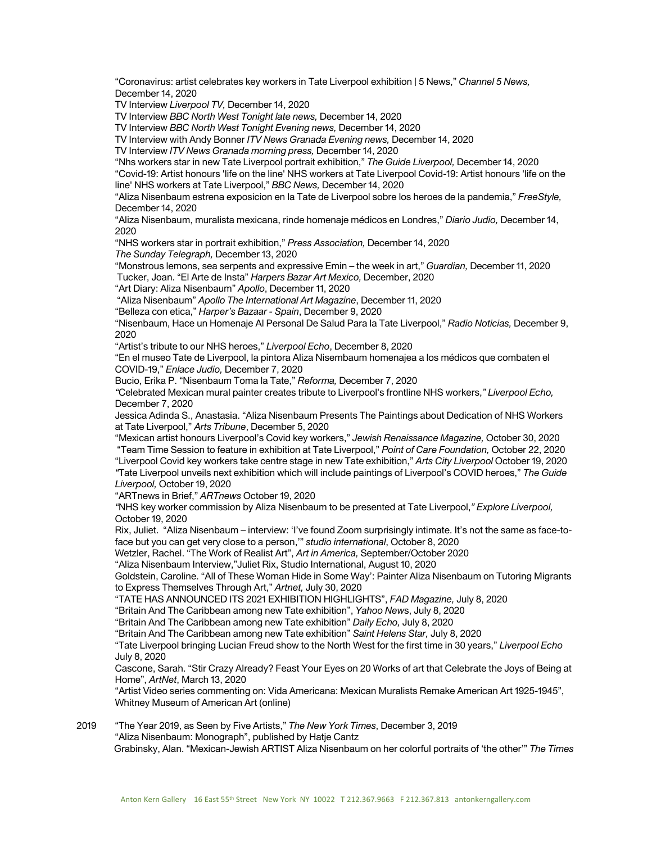"Coronavirus: artist celebrates key workers in Tate Liverpool exhibition | 5 News," *Channel 5 News,* December 14, 2020

TV Interview *Liverpool TV,* December 14, 2020

TV Interview *BBC North West Tonight late news,* December 14, 2020

TV Interview *BBC North West Tonight Evening news,* December 14, 2020

TV Interview with Andy Bonner *ITV News Granada Evening news,* December 14, 2020

TV Interview *ITV News Granada morning press,* December 14, 2020

"Nhs workers star in new Tate Liverpool portrait exhibition," *The Guide Liverpool,* December 14, 2020 "Covid-19: Artist honours 'life on the line' NHS workers at Tate Liverpool Covid-19: Artist honours 'life on the line' NHS workers at Tate Liverpool," *BBC News,* December 14, 2020

"Aliza Nisenbaum estrena exposicion en la Tate de Liverpool sobre los heroes de la pandemia," *FreeStyle,* December 14, 2020

"Aliza Nisenbaum, muralista mexicana, rinde homenaje médicos en Londres," *Diario Judio,* December 14, 2020

"NHS workers star in portrait exhibition," *Press Association,* December 14, 2020

*The Sunday Telegraph,* December 13, 2020

"Monstrous lemons, sea serpents and expressive Emin – the week in art," *Guardian,* December 11, 2020 Tucker, Joan. "El Arte de Insta" *Harpers Bazar Art Mexico,* December, 2020

"Art Diary: Aliza Nisenbaum" *Apollo*, December 11, 2020

"Aliza Nisenbaum" *Apollo The International Art Magazine*, December 11, 2020

"Belleza con etica," *Harper's Bazaar - Spain*, December 9, 2020

"Nisenbaum, Hace un Homenaje Al Personal De Salud Para la Tate Liverpool," *Radio Noticias,* December 9, 2020

"Artist's tribute to our NHS heroes," *Liverpool Echo*, December 8, 2020

"En el museo Tate de Liverpool, la pintora Aliza Nisembaum homenajea a los médicos que combaten el COVID-19," *Enlace Judio,* December 7, 2020

Bucio, Erika P. "Nisenbaum Toma la Tate," *Reforma,* December 7, 2020

*"*Celebrated Mexican mural painter creates tribute to Liverpool's frontline NHS workers,*" Liverpool Echo,*  December 7, 2020

Jessica Adinda S., Anastasia. "Aliza Nisenbaum Presents The Paintings about Dedication of NHS Workers at Tate Liverpool," *Arts Tribune*, December 5, 2020

"Mexican artist honours Liverpool's Covid key workers," *Jewish Renaissance Magazine,* October 30, 2020 "Team Time Session to feature in exhibition at Tate Liverpool," *Point of Care Foundation,* October 22, 2020

"Liverpool Covid key workers take centre stage in new Tate exhibition," *Arts City Liverpool* October 19, 2020 *"*Tate Liverpool unveils next exhibition which will include paintings of Liverpool's COVID heroes," *The Guide Liverpool,* October 19, 2020

"ARTnews in Brief," *ARTnews* October 19, 2020

*"*NHS key worker commission by Aliza Nisenbaum to be presented at Tate Liverpool,*" Explore Liverpool,*  October 19, 2020

Rix, Juliet. "Aliza Nisenbaum – interview: 'I've found Zoom surprisingly intimate. It's not the same as face-toface but you can get very close to a person,'" *studio international*, October 8, 2020

Wetzler, Rachel. "The Work of Realist Art", *Art in America,* September/October 2020

"Aliza Nisenbaum Interview,"Juliet Rix, Studio International, August 10, 2020

Goldstein, Caroline. "All of These Woman Hide in Some Way': Painter Aliza Nisenbaum on Tutoring Migrants to Express Themselves Through Art," *Artnet,* July 30, 2020

"TATE HAS ANNOUNCED ITS 2021 EXHIBITION HIGHLIGHTS", *FAD Magazine,* July 8, 2020

"Britain And The Caribbean among new Tate exhibition", *Yahoo New*s, July 8, 2020

"Britain And The Caribbean among new Tate exhibition" *Daily Echo,* July 8, 2020

"Britain And The Caribbean among new Tate exhibition" *Saint Helens Star,* July 8, 2020

"Tate Liverpool bringing Lucian Freud show to the North West for the first time in 30 years," *Liverpool Echo* July 8, 2020

Cascone, Sarah. "Stir Crazy Already? Feast Your Eyes on 20 Works of art that Celebrate the Joys of Being at Home", *ArtNet*, March 13, 2020

 "Artist Video series commenting on: Vida Americana: Mexican Muralists Remake American Art 1925-1945", Whitney Museum of American Art (online)

2019 "The Year 2019, as Seen by Five Artists," *The New York Times*, December 3, 2019

"Aliza Nisenbaum: Monograph", published by Hatje Cantz

Grabinsky, Alan. "Mexican-Jewish ARTIST Aliza Nisenbaum on her colorful portraits of 'the other'" *The Times*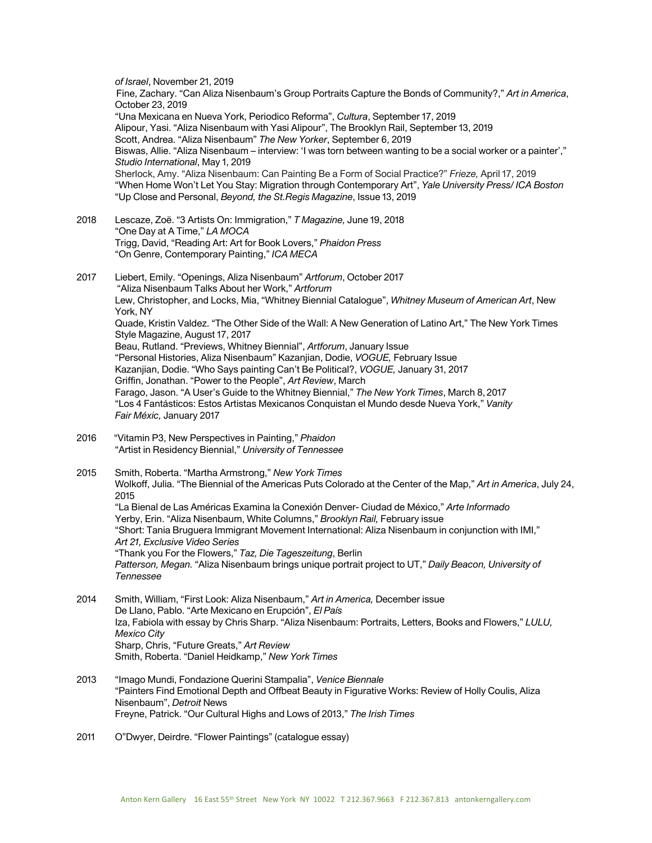*of Israel*, November 21, 2019 Fine, Zachary. "Can Aliza Nisenbaum's Group Portraits Capture the Bonds of Community?," *Art in America*, October 23, 2019 "Una Mexicana en Nueva York, Periodico Reforma", *Cultura*, September 17, 2019 Alipour, Yasi. "Aliza Nisenbaum with Yasi Alipour", The Brooklyn Rail, September 13, 2019 Scott, Andrea. "Aliza Nisenbaum" *The New Yorker*, September 6, 2019 Biswas, Allie. "Aliza Nisenbaum – interview: 'I was torn between wanting to be a social worker or a painter'," *Studio International*, May 1, 2019 Sherlock, Amy. "Aliza Nisenbaum: Can Painting Be a Form of Social Practice?" *Frieze,* April 17, 2019 "When Home Won't Let You Stay: Migration through Contemporary Art", *Yale University Press/ ICA Boston* "Up Close and Personal, *Beyond, the St.Regis Magazine*, Issue 13, 2019 2018 Lescaze, Zoë. "3 Artists On: Immigration," *T Magazine,* June 19, 2018 "One Day at A Time," *LA MOCA* Trigg, David, "Reading Art: Art for Book Lovers," *Phaidon Press* "On Genre, Contemporary Painting," *ICA MECA* 2017 Liebert, Emily. "Openings, Aliza Nisenbaum" *Artforum*, October 2017 "Aliza Nisenbaum Talks About her Work," *Artforum* Lew, Christopher, and Locks, Mia, "Whitney Biennial Catalogue", *Whitney Museum of American Art*, New York, NY Quade, Kristin Valdez. "The Other Side of the Wall: A New Generation of Latino Art," The New York Times Style Magazine, August 17, 2017 Beau, Rutland. "Previews, Whitney Biennial", *A*r*tforum*, January Issue "Personal Histories, Aliza Nisenbaum" Kazanjian, Dodie, *VOGUE,* February Issue Kazanjian, Dodie. "Who Says painting Can't Be Political?, *VOGUE,* January 31, 2017 Griffin, Jonathan. "Power to the People", *Art Review*, March Farago, Jason. "A User's Guide to the Whitney Biennial," *The New York Times*, March 8, 2017 "Los 4 Fantásticos: Estos Artistas Mexicanos Conquistan el Mundo desde Nueva York," *Vanity Fair Méxic,* January 2017 2016 "Vitamin P3, New Perspectives in Painting," *Phaidon* "Artist in Residency Biennial," *University of Tennessee* 2015 Smith, Roberta. "Martha Armstrong," *New York Times* Wolkoff, Julia. "The Biennial of the Americas Puts Colorado at the Center of the Map," *Art in America*, July 24, 2015 "La Bienal de Las Américas Examina la Conexión Denver- Ciudad de México," *Arte Informado* Yerby, Erin. "Aliza Nisenbaum, White Columns," *Brooklyn Rail,* February issue "Short: Tania Bruguera Immigrant Movement International: Aliza Nisenbaum in conjunction with IMI," *Art 21, Exclusive Video Series* "Thank you For the Flowers," *Taz, Die Tageszeitung*, Berlin *Patterson, Megan.* "Aliza Nisenbaum brings unique portrait project to UT," *Daily Beacon, University of Tennessee* 2014 Smith, William, "First Look: Aliza Nisenbaum," *Art in America,* December issue De Llano, Pablo. "Arte Mexicano en Erupción", *El País* Iza, Fabiola with essay by Chris Sharp. "Aliza Nisenbaum: Portraits, Letters, Books and Flowers," *LULU, Mexico City* Sharp, Chris, "Future Greats," *Art Review*  Smith, Roberta. "Daniel Heidkamp," *New York Times*  2013 "Imago Mundi, Fondazione Querini Stampalia", *Venice Biennale* "Painters Find Emotional Depth and Offbeat Beauty in Figurative Works: Review of Holly Coulis, Aliza Nisenbaum", *Detroit* News Freyne, Patrick. "Our Cultural Highs and Lows of 2013," *The Irish Times*

2011 O"Dwyer, Deirdre. "Flower Paintings" (catalogue essay)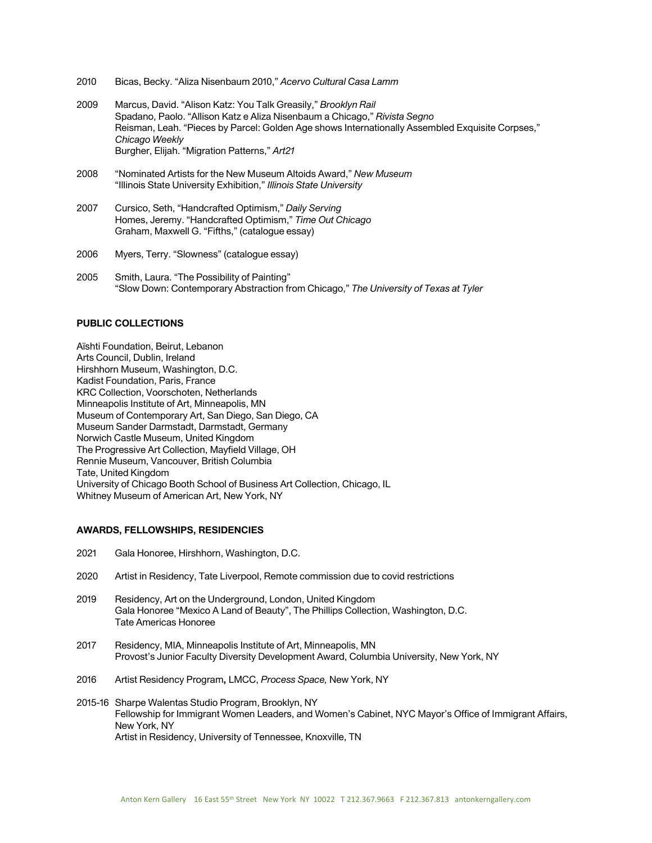- 2010 Bicas, Becky. "Aliza Nisenbaum 2010," *Acervo Cultural Casa Lamm*
- 2009 Marcus, David. "Alison Katz: You Talk Greasily," *Brooklyn Rail* Spadano, Paolo. "Allison Katz e Aliza Nisenbaum a Chicago," *Rivista Segno* Reisman, Leah. "Pieces by Parcel: Golden Age shows Internationally Assembled Exquisite Corpses," *Chicago Weekly* Burgher, Elijah. "Migration Patterns," *Art21*
- 2008 "Nominated Artists for the New Museum Altoids Award," *New Museum* "Illinois State University Exhibition," *Illinois State University*
- 2007 Cursico, Seth, "Handcrafted Optimism," *Daily Serving* Homes, Jeremy. "Handcrafted Optimism," *Time Out Chicago* Graham, Maxwell G. "Fifths," (catalogue essay)
- 2006 Myers, Terry. "Slowness" (catalogue essay)
- 2005 Smith, Laura. "The Possibility of Painting" "Slow Down: Contemporary Abstraction from Chicago," *The University of Texas at Tyler*

#### **PUBLIC COLLECTIONS**

Aïshti Foundation, Beirut, Lebanon Arts Council, Dublin, Ireland Hirshhorn Museum, Washington, D.C. Kadist Foundation, Paris, France KRC Collection, Voorschoten, Netherlands Minneapolis Institute of Art, Minneapolis, MN Museum of Contemporary Art, San Diego, San Diego, CA Museum Sander Darmstadt, Darmstadt, Germany Norwich Castle Museum, United Kingdom The Progressive Art Collection, Mayfield Village, OH Rennie Museum, Vancouver, British Columbia Tate, United Kingdom University of Chicago Booth School of Business Art Collection, Chicago, IL Whitney Museum of American Art, New York, NY

#### **AWARDS, FELLOWSHIPS, RESIDENCIES**

- 2021 Gala Honoree, Hirshhorn, Washington, D.C.
- 2020 Artist in Residency, Tate Liverpool, Remote commission due to covid restrictions
- 2019 Residency, Art on the Underground, London, United Kingdom Gala Honoree "Mexico A Land of Beauty", The Phillips Collection, Washington, D.C. Tate Americas Honoree
- 2017 Residency, MIA, Minneapolis Institute of Art, Minneapolis, MN Provost's Junior Faculty Diversity Development Award, Columbia University, New York, NY
- 2016 Artist Residency Program**,** LMCC, *Process Space,* New York, NY
- 2015-16 Sharpe Walentas Studio Program, Brooklyn, NY Fellowship for Immigrant Women Leaders, and Women's Cabinet, NYC Mayor's Office of Immigrant Affairs, New York, NY Artist in Residency, University of Tennessee, Knoxville, TN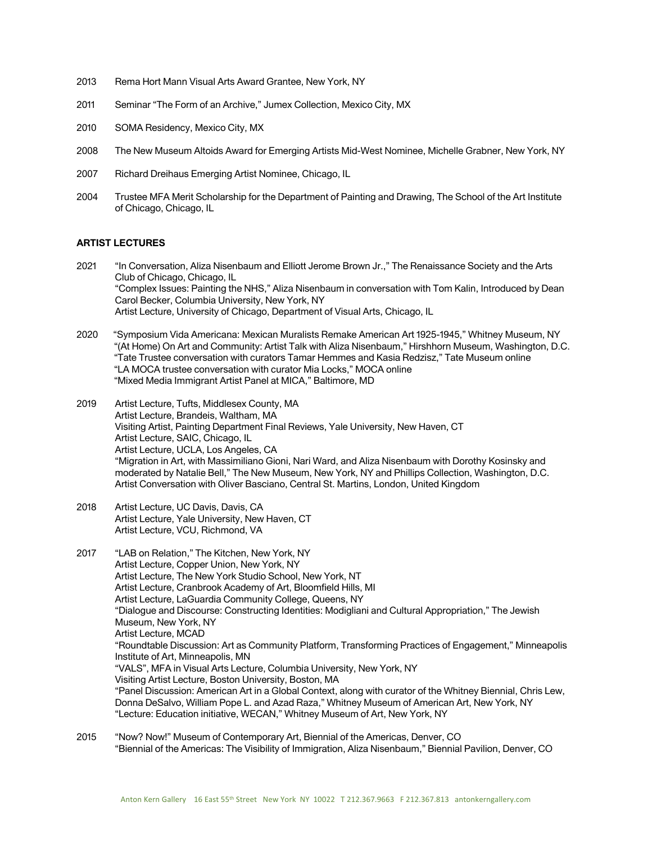- 2013 Rema Hort Mann Visual Arts Award Grantee, New York, NY
- 2011 Seminar "The Form of an Archive," Jumex Collection, Mexico City, MX
- 2010 SOMA Residency, Mexico City, MX
- 2008 The New Museum Altoids Award for Emerging Artists Mid-West Nominee, Michelle Grabner, New York, NY
- 2007 Richard Dreihaus Emerging Artist Nominee, Chicago, IL
- 2004 Trustee MFA Merit Scholarship for the Department of Painting and Drawing, The School of the Art Institute of Chicago, Chicago, IL

#### **ARTIST LECTURES**

- 2021 "In Conversation, Aliza Nisenbaum and Elliott Jerome Brown Jr.," The Renaissance Society and the Arts Club of Chicago, Chicago, IL "Complex Issues: Painting the NHS," Aliza Nisenbaum in conversation with Tom Kalin, Introduced by Dean Carol Becker, Columbia University, New York, NY Artist Lecture, University of Chicago, Department of Visual Arts, Chicago, IL
- 2020 "Symposium Vida Americana: Mexican Muralists Remake American Art 1925-1945," Whitney Museum, NY "(At Home) On Art and Community: Artist Talk with Aliza Nisenbaum," Hirshhorn Museum, Washington, D.C. "Tate Trustee conversation with curators Tamar Hemmes and Kasia Redzisz," Tate Museum online "LA MOCA trustee conversation with curator Mia Locks," MOCA online "Mixed Media Immigrant Artist Panel at MICA," Baltimore, MD
- 2019 Artist Lecture, Tufts, Middlesex County, MA Artist Lecture, Brandeis, Waltham, MA Visiting Artist, Painting Department Final Reviews, Yale University, New Haven, CT Artist Lecture, SAIC, Chicago, IL Artist Lecture, UCLA, Los Angeles, CA "Migration in Art, with Massimiliano Gioni, Nari Ward, and Aliza Nisenbaum with Dorothy Kosinsky and moderated by Natalie Bell," The New Museum, New York, NY and Phillips Collection, Washington, D.C. Artist Conversation with Oliver Basciano, Central St. Martins, London, United Kingdom
- 2018 Artist Lecture, UC Davis, Davis, CA Artist Lecture, Yale University, New Haven, CT Artist Lecture, VCU, Richmond, VA
- 2017 "LAB on Relation," The Kitchen, New York, NY Artist Lecture, Copper Union, New York, NY Artist Lecture, The New York Studio School, New York, NT Artist Lecture, Cranbrook Academy of Art, Bloomfield Hills, MI Artist Lecture, LaGuardia Community College, Queens, NY "Dialogue and Discourse: Constructing Identities: Modigliani and Cultural Appropriation," The Jewish Museum, New York, NY Artist Lecture, MCAD "Roundtable Discussion: Art as Community Platform, Transforming Practices of Engagement," Minneapolis Institute of Art, Minneapolis, MN "VALS", MFA in Visual Arts Lecture, Columbia University, New York, NY Visiting Artist Lecture, Boston University, Boston, MA "Panel Discussion: American Art in a Global Context, along with curator of the Whitney Biennial, Chris Lew, Donna DeSalvo, William Pope L. and Azad Raza," Whitney Museum of American Art, New York, NY "Lecture: Education initiative, WECAN," Whitney Museum of Art, New York, NY
- 2015 "Now? Now!" Museum of Contemporary Art, Biennial of the Americas, Denver, CO "Biennial of the Americas: The Visibility of Immigration, Aliza Nisenbaum," Biennial Pavilion, Denver, CO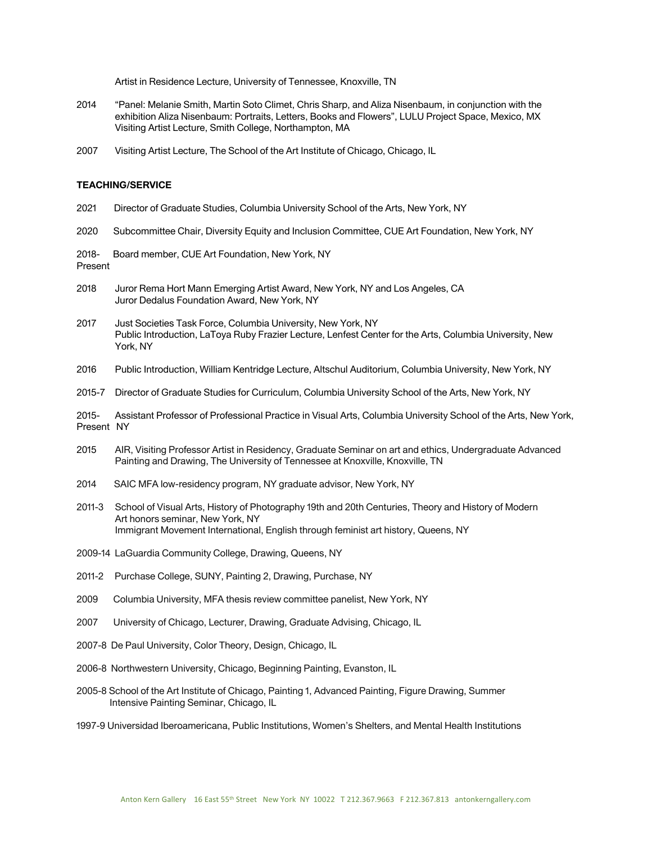Artist in Residence Lecture, University of Tennessee, Knoxville, TN

- 2014 "Panel: Melanie Smith, Martin Soto Climet, Chris Sharp, and Aliza Nisenbaum, in conjunction with the exhibition Aliza Nisenbaum: Portraits, Letters, Books and Flowers", LULU Project Space, Mexico, MX Visiting Artist Lecture, Smith College, Northampton, MA
- 2007 Visiting Artist Lecture, The School of the Art Institute of Chicago, Chicago, IL

#### **TEACHING/SERVICE**

- 2021 Director of Graduate Studies, Columbia University School of the Arts, New York, NY
- 2020 Subcommittee Chair, Diversity Equity and Inclusion Committee, CUE Art Foundation, New York, NY

2018- Board member, CUE Art Foundation, New York, NY Present

- 2018 Juror Rema Hort Mann Emerging Artist Award, New York, NY and Los Angeles, CA Juror Dedalus Foundation Award, New York, NY
- 2017 Just Societies Task Force, Columbia University, New York, NY Public Introduction, LaToya Ruby Frazier Lecture, Lenfest Center for the Arts, Columbia University, New York, NY
- 2016 Public Introduction, William Kentridge Lecture, Altschul Auditorium, Columbia University, New York, NY
- 2015-7 Director of Graduate Studies for Curriculum, Columbia University School of the Arts, New York, NY

2015- Assistant Professor of Professional Practice in Visual Arts, Columbia University School of the Arts, New York, Present NY

- 2015 AIR, Visiting Professor Artist in Residency, Graduate Seminar on art and ethics, Undergraduate Advanced Painting and Drawing, The University of Tennessee at Knoxville, Knoxville, TN
- 2014 SAIC MFA low-residency program, NY graduate advisor, New York, NY
- 2011-3 School of Visual Arts, History of Photography 19th and 20th Centuries, Theory and History of Modern Art honors seminar, New York, NY Immigrant Movement International, English through feminist art history, Queens, NY
- 2009-14 LaGuardia Community College, Drawing, Queens, NY
- 2011-2 Purchase College, SUNY, Painting 2, Drawing, Purchase, NY
- 2009 Columbia University, MFA thesis review committee panelist, New York, NY
- 2007 University of Chicago, Lecturer, Drawing, Graduate Advising, Chicago, IL
- 2007-8 De Paul University, Color Theory, Design, Chicago, IL
- 2006-8 Northwestern University, Chicago, Beginning Painting, Evanston, IL
- 2005-8 School of the Art Institute of Chicago, Painting 1, Advanced Painting, Figure Drawing, Summer Intensive Painting Seminar, Chicago, IL
- 1997-9 Universidad Iberoamericana, Public Institutions, Women's Shelters, and Mental Health Institutions